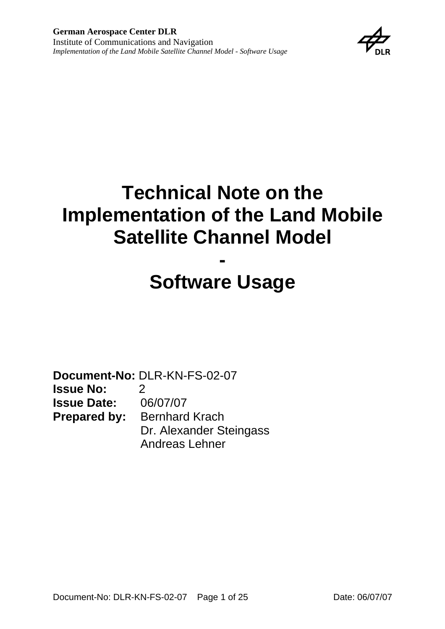

# **Technical Note on the Implementation of the Land Mobile Satellite Channel Model**

# **- Software Usage**

**Document-No:** DLR-KN-FS-02-07 **Issue No:** 2 **Issue Date:** 06/07/07 **Prepared by:** Bernhard Krach Dr. Alexander Steingass Andreas Lehner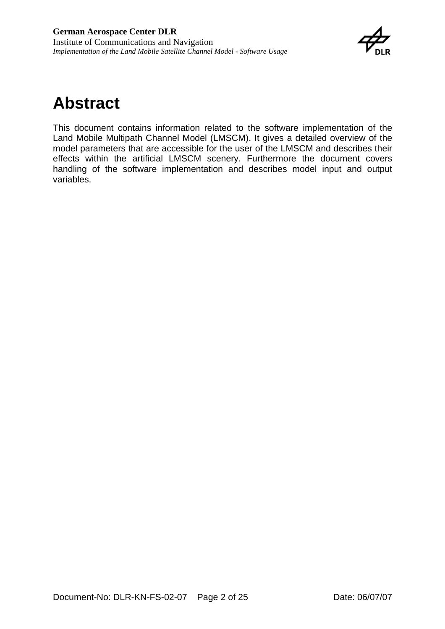

## <span id="page-1-0"></span>**Abstract**

This document contains information related to the software implementation of the Land Mobile Multipath Channel Model (LMSCM). It gives a detailed overview of the model parameters that are accessible for the user of the LMSCM and describes their effects within the artificial LMSCM scenery. Furthermore the document covers handling of the software implementation and describes model input and output variables.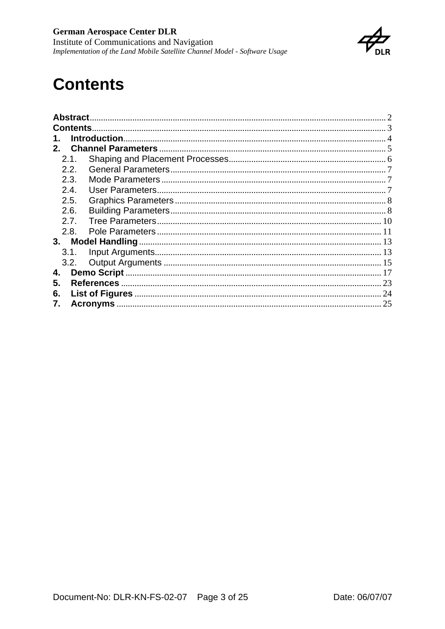

## <span id="page-2-0"></span>**Contents**

|         | <b>Abstract</b>  |  |  |  |  |
|---------|------------------|--|--|--|--|
|         | <b>Contents.</b> |  |  |  |  |
|         |                  |  |  |  |  |
| $2_{-}$ |                  |  |  |  |  |
|         | 2.1.             |  |  |  |  |
|         | 2.2.             |  |  |  |  |
|         | 2.3.             |  |  |  |  |
|         | 2.4              |  |  |  |  |
|         | 2.5.             |  |  |  |  |
|         | 2.6.             |  |  |  |  |
|         | 2.7.             |  |  |  |  |
|         | 2.8.             |  |  |  |  |
| 3.      |                  |  |  |  |  |
|         | 3.1.             |  |  |  |  |
|         | 3.2.             |  |  |  |  |
| 4.      |                  |  |  |  |  |
| 5.      |                  |  |  |  |  |
| 6.      |                  |  |  |  |  |
| 7.      |                  |  |  |  |  |
|         |                  |  |  |  |  |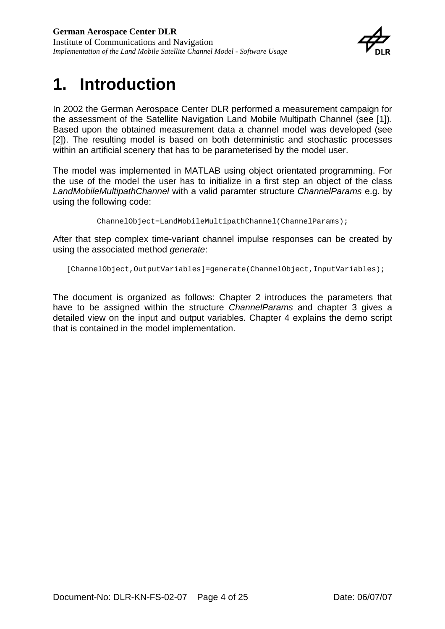

## <span id="page-3-0"></span>**1. Introduction**

In 2002 the German Aerospace Center DLR performed a measurement campaign for the assessment of the Satellite Navigation Land Mobile Multipath Channel (see [\[1\]\)](#page-22-1). Based upon the obtained measurement data a channel model was developed (see [\[2\]\)](#page-22-2). The resulting model is based on both deterministic and stochastic processes within an artificial scenery that has to be parameterised by the model user.

The model was implemented in MATLAB using object orientated programming. For the use of the model the user has to initialize in a first step an object of the class *LandMobileMultipathChannel* with a valid paramter structure *ChannelParams* e.g. by using the following code:

ChannelObject=LandMobileMultipathChannel(ChannelParams);

After that step complex time-variant channel impulse responses can be created by using the associated method *generate*:

[ChannelObject,OutputVariables]=generate(ChannelObject,InputVariables);

The document is organized as follows: Chapter 2 introduces the parameters that have to be assigned within the structure *ChannelParams* and chapter 3 gives a detailed view on the input and output variables. Chapter 4 explains the demo script that is contained in the model implementation.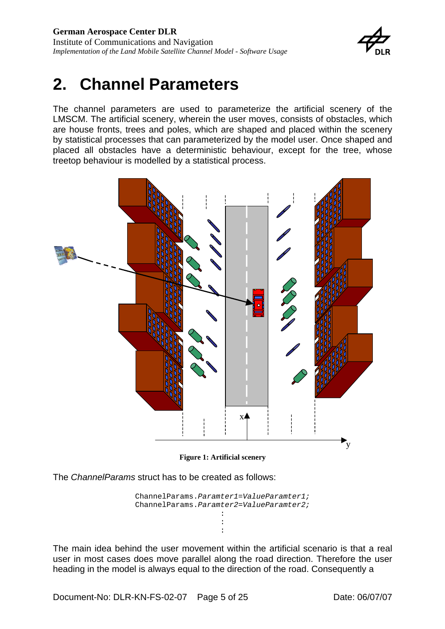

## <span id="page-4-0"></span>**2. Channel Parameters**

The channel parameters are used to parameterize the artificial scenery of the LMSCM. The artificial scenery, wherein the user moves, consists of obstacles, which are house fronts, trees and poles, which are shaped and placed within the scenery by statistical processes that can parameterized by the model user. Once shaped and placed all obstacles have a deterministic behaviour, except for the tree, whose treetop behaviour is modelled by a statistical process.



**[Figure 1: Artificial scenery](#page-22-1)**

The *ChannelParams* struct has to be created as follows:

ChannelParams.*Paramter1*=*ValueParamter1;*  ChannelParams.*Paramter2*=*ValueParamter2;*  : :

:

The main idea behind the user movement within the artificial scenario is that a real user in most cases does move parallel along the road direction. Therefore the user heading in the model is always equal to the direction of the road. Consequently a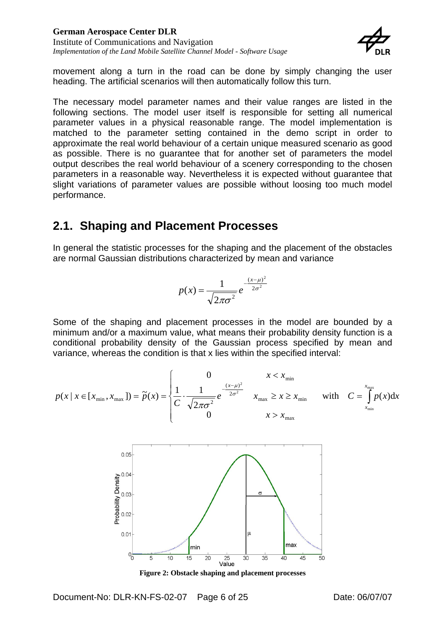

<span id="page-5-0"></span>movement along a turn in the road can be done by simply changing the user heading. The artificial scenarios will then automatically follow this turn.

The necessary model parameter names and their value ranges are listed in the following sections. The model user itself is responsible for setting all numerical parameter values in a physical reasonable range. The model implementation is matched to the parameter setting contained in the demo script in order to approximate the real world behaviour of a certain unique measured scenario as good as possible. There is no guarantee that for another set of parameters the model output describes the real world behaviour of a scenery corresponding to the chosen parameters in a reasonable way. Nevertheless it is expected without guarantee that slight variations of parameter values are possible without loosing too much model performance.

### **2.1. Shaping and Placement Processes**

In general the statistic processes for the shaping and the placement of the obstacles are normal Gaussian distributions characterized by mean and variance

$$
p(x) = \frac{1}{\sqrt{2\pi\sigma^2}}e^{-\frac{(x-\mu)^2}{2\sigma^2}}
$$

Some of the shaping and placement processes in the model are bounded by a minimum and/or a maximum value, what means their probability density function is a conditional probability density of the Gaussian process specified by mean and variance, whereas the condition is that x lies within the specified interval:

$$
p(x \mid x \in [x_{\min}, x_{\max}]) = \tilde{p}(x) = \begin{cases} 0 & x < x_{\min} \\ \frac{1}{C} \cdot \frac{1}{\sqrt{2\pi\sigma^2}} e^{-\frac{(x-\mu)^2}{2\sigma^2}} & x_{\max} \ge x \ge x_{\min} \\ 0 & x > x_{\max} \end{cases}
$$
 with  $C = \int_{x_{\min}}^{x_{\max}} p(x) dx$ 



**Figure 2: Obstacle shaping and placement processes**

Document-No: DLR-KN-FS-02-07 Page 6 of 25 Date: 06/07/07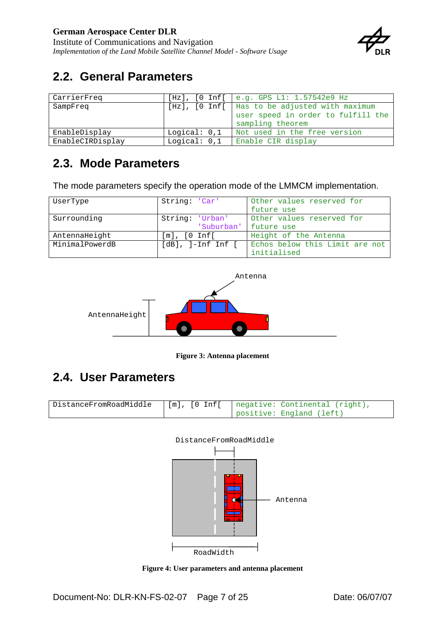

### <span id="page-6-0"></span>**2.2. General Parameters**

| CarrierFreq      |              | [Hz], [0 Inf[   e.g. GPS L1: 1.57542e9 Hz       |
|------------------|--------------|-------------------------------------------------|
| SampFreq         |              | [Hz], [O Inf[   Has to be adjusted with maximum |
|                  |              | user speed in order to fulfill the              |
|                  |              | sampling theorem                                |
| EnableDisplay    | Logical: 0,1 | Not used in the free version                    |
| EnableCIRDisplay | Logical: 0,1 | Enable CIR display                              |

### **2.3. Mode Parameters**

The mode parameters specify the operation mode of the LMMCM implementation.

| UserType       | String: 'Car'              | Other values reserved for      |
|----------------|----------------------------|--------------------------------|
|                |                            | future use                     |
| Surrounding    | String: 'Urban'            | Other values reserved for      |
|                | 'Suburban' future use      |                                |
| AntennaHeight  | $[m]$ , $[0 \text{ Inf}$   | Height of the Antenna          |
| MinimalPowerdB | $[dB]$ , $]-Inf$ $Inf$ $[$ | Echos below this Limit are not |
|                |                            | initialised                    |



**Figure 3: Antenna placement** 

## **2.4. User Parameters**

| DistanceFromRoadMiddle | '[m], [0 Inf[   negative: Continental (right), |
|------------------------|------------------------------------------------|
|                        | positive: England (left)                       |



**Figure 4: User parameters and antenna placement**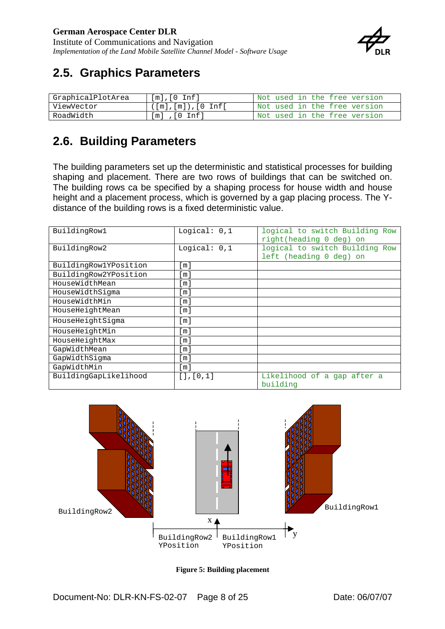<span id="page-7-0"></span>Institute of Communications and Navigation *Implementation of the Land Mobile Satellite Channel Model - Software Usage* 



### **2.5. Graphics Parameters**

| GraphicalPlotArea | $[m]$ , $[0 \; \text{Inf}]$ | Not used in the free version |
|-------------------|-----------------------------|------------------------------|
| ViewVector        |                             | Not used in the free version |
| RoadWidth         | $\sqrt{0}$ Infl<br>im I     | Not used in the free version |

### **2.6. Building Parameters**

The building parameters set up the deterministic and statistical processes for building shaping and placement. There are two rows of buildings that can be switched on. The building rows ca be specified by a shaping process for house width and house height and a placement process, which is governed by a gap placing process. The Ydistance of the building rows is a fixed deterministic value.

| BuildingRow1          | Logical: $0,1$  | logical to switch Building Row<br>right(heading 0 deg) on |
|-----------------------|-----------------|-----------------------------------------------------------|
| BuildingRow2          | Logical: $0,1$  | logical to switch Building Row<br>left (heading 0 deg) on |
|                       |                 |                                                           |
| BuildingRow1YPosition | [m]             |                                                           |
| BuildingRow2YPosition | [m]             |                                                           |
| HouseWidthMean        | [m]             |                                                           |
| HouseWidthSigma       | l m l           |                                                           |
| HouseWidthMin         | l m l           |                                                           |
| HouseHeightMean       | [m]             |                                                           |
| HouseHeightSigma      | [ m ]           |                                                           |
| HouseHeightMin        | [m]             |                                                           |
| HouseHeightMax        | [m]             |                                                           |
| GapWidthMean          | [m]             |                                                           |
| GapWidthSigma         | [m]             |                                                           |
| GapWidthMin           | [m]             |                                                           |
| BuildingGapLikelihood | [ ] , [ 0 , 1 ] | Likelihood of a gap after a<br>building                   |



**Figure 5: Building placement**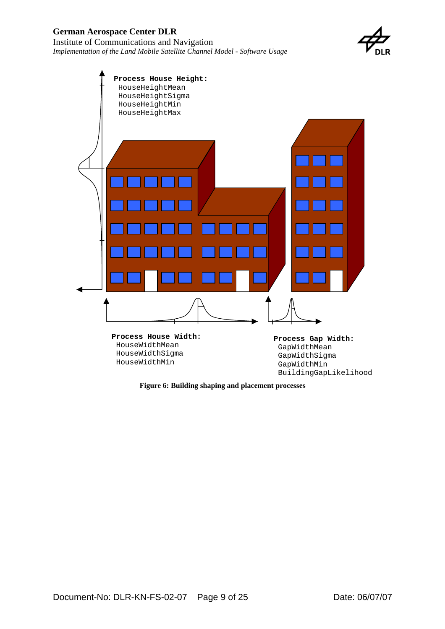

<span id="page-8-0"></span>

**Figure 6: Building shaping and placement processes**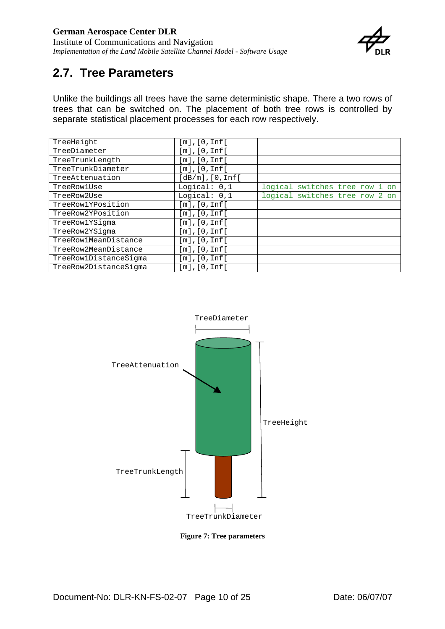<span id="page-9-0"></span>Institute of Communications and Navigation *Implementation of the Land Mobile Satellite Channel Model - Software Usage* 



### **2.7. Tree Parameters**

Unlike the buildings all trees have the same deterministic shape. There a two rows of trees that can be switched on. The placement of both tree rows is controlled by separate statistical placement processes for each row respectively.

| TreeHeight            | [m], [0, Inf[      |                                |
|-----------------------|--------------------|--------------------------------|
| TreeDiameter          | [m], [0, Inf[      |                                |
| TreeTrunkLength       | [m], [0, Inf[      |                                |
| TreeTrunkDiameter     | $[m]$ , $[0, Inf[$ |                                |
| TreeAttenuation       | [dB/m], [0, Inf[   |                                |
| TreeRowlUse           | Logical: $0,1$     | logical switches tree row 1 on |
| TreeRow2Use           | Logical: $0,1$     | logical switches tree row 2 on |
| TreeRow1YPosition     | [m], [0, Inf[      |                                |
| TreeRow2YPosition     | [m], [0, Inf[      |                                |
| TreeRow1YSigma        | [m], [0, Inf[      |                                |
| TreeRow2YSigma        | [m], [0, Inf[      |                                |
| TreeRow1MeanDistance  | [m],[0,Inf[        |                                |
| TreeRow2MeanDistance  | [m], [0, Inf[      |                                |
| TreeRow1DistanceSigma | [m], [0, Inf[      |                                |
| TreeRow2DistanceSigma | [m], [0, Inf[      |                                |



**Figure 7: Tree parameters**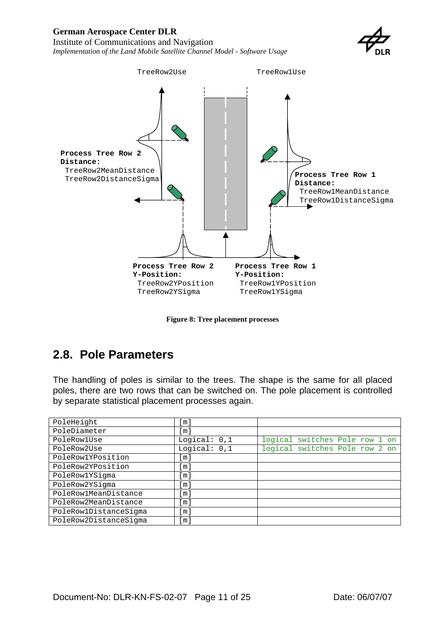#### <span id="page-10-0"></span>**German Aerospace Center DLR**  Institute of Communications and Navigation

*Implementation of the Land Mobile Satellite Channel Model - Software Usage* 





**Figure 8: Tree placement processes**

### **2.8. Pole Parameters**

The handling of poles is similar to the trees. The shape is the same for all placed poles, there are two rows that can be switched on. The pole placement is controlled by separate statistical placement processes again.

| PoleHeight            | m                   |                                |
|-----------------------|---------------------|--------------------------------|
| PoleDiameter          | $\lfloor m \rfloor$ |                                |
| PoleRowlUse           | Logical: $0,1$      | logical switches Pole row 1 on |
| PoleRow2Use           | Logical: $0,1$      | logical switches Pole row 2 on |
| PoleRow1YPosition     | [m]                 |                                |
| PoleRow2YPosition     | $\lceil m \rceil$   |                                |
| PoleRow1YSigma        | $\lceil m \rceil$   |                                |
| PoleRow2YSigma        | $\lceil m \rceil$   |                                |
| PoleRow1MeanDistance  | $\lceil m \rceil$   |                                |
| PoleRow2MeanDistance  | [m]                 |                                |
| PoleRow1DistanceSigma | $\lceil m \rceil$   |                                |
| PoleRow2DistanceSigma | [m]                 |                                |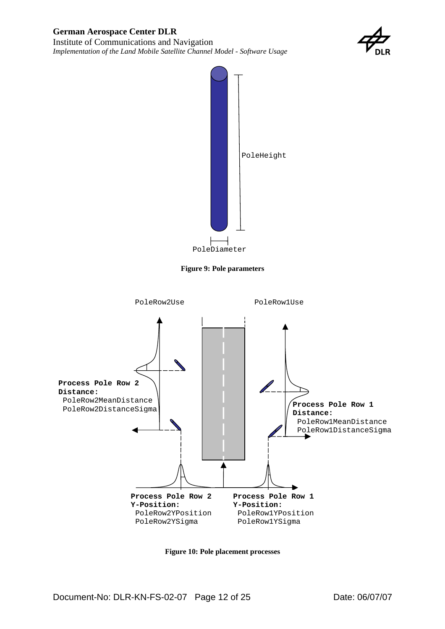

<span id="page-11-0"></span>

**Figure 9: Pole parameters** 



**Figure 10: Pole placement processes**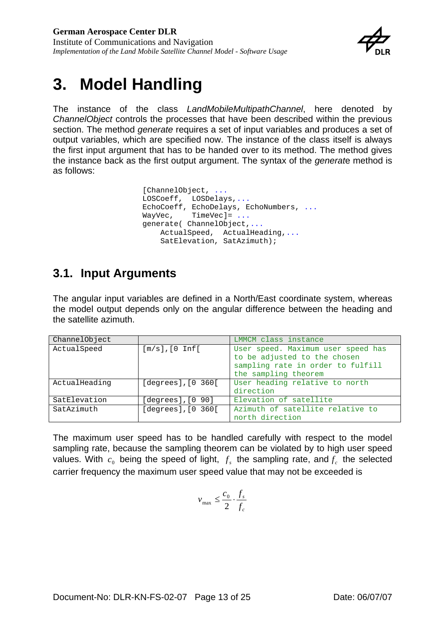

## <span id="page-12-0"></span>**3. Model Handling**

The instance of the class *LandMobileMultipathChannel*, here denoted by *ChannelObject* controls the processes that have been described within the previous section. The method *generate* requires a set of input variables and produces a set of output variables, which are specified now. The instance of the class itself is always the first input argument that has to be handed over to its method. The method gives the instance back as the first output argument. The syntax of the *generat*e method is as follows:

> [ChannelObject, ... LOSCoeff, LOSDelays,... EchoCoeff, EchoDelays, EchoNumbers, ... WayVec, TimeVec]= ... generate( ChannelObject,... ActualSpeed, ActualHeading,... SatElevation, SatAzimuth);

### **3.1. Input Arguments**

The angular input variables are defined in a North/East coordinate system, whereas the model output depends only on the angular difference between the heading and the satellite azimuth.

| ChannelObject |                            | LMMCM class instance               |
|---------------|----------------------------|------------------------------------|
| ActualSpeed   | $[m/s]$ , $[0 \text{Inf}[$ | User speed. Maximum user speed has |
|               |                            | to be adjusted to the chosen       |
|               |                            | sampling rate in order to fulfill  |
|               |                            | the sampling theorem               |
| ActualHeading | [degrees], [0 360]         | User heading relative to north     |
|               |                            | direction                          |
| SatElevation  | [degrees], [0 90]          | Elevation of satellite             |
| SatAzimuth    | $[degrees]$ , $[0 360]$    | Azimuth of satellite relative to   |
|               |                            | north direction                    |

The maximum user speed has to be handled carefully with respect to the model sampling rate, because the sampling theorem can be violated by to high user speed values. With  $c_0$  being the speed of light,  $f_s$  the sampling rate, and  $f_c$  the selected carrier frequency the maximum user speed value that may not be exceeded is

$$
v_{\max} \leq \frac{c_0}{2} \cdot \frac{f_s}{f_c}
$$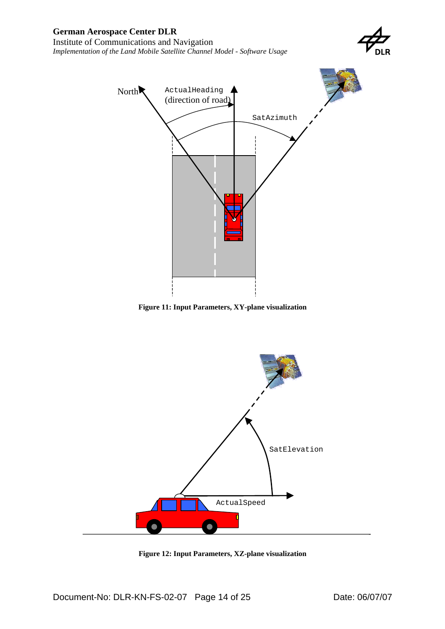

<span id="page-13-0"></span>

**Figure 11: Input Parameters, XY-plane visualization**



**Figure 12: Input Parameters, XZ-plane visualization**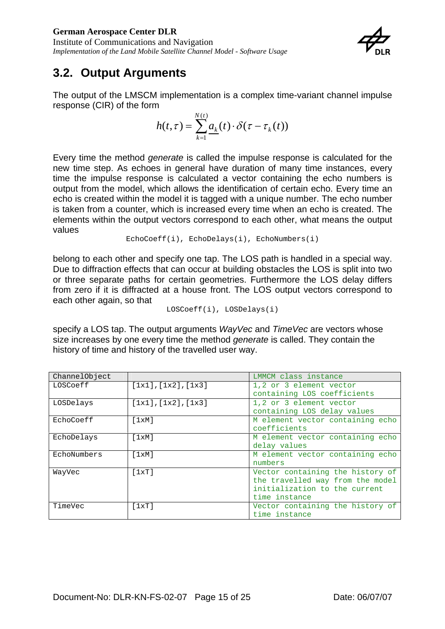<span id="page-14-0"></span>Institute of Communications and Navigation *Implementation of the Land Mobile Satellite Channel Model - Software Usage* 



### **3.2. Output Arguments**

The output of the LMSCM implementation is a complex time-variant channel impulse response (CIR) of the form

$$
h(t,\tau) = \sum_{k=1}^{N(t)} a_k(t) \cdot \delta(\tau - \tau_k(t))
$$

Every time the method *generate* is called the impulse response is calculated for the new time step. As echoes in general have duration of many time instances, every time the impulse response is calculated a vector containing the echo numbers is output from the model, which allows the identification of certain echo. Every time an echo is created within the model it is tagged with a unique number. The echo number is taken from a counter, which is increased every time when an echo is created. The elements within the output vectors correspond to each other, what means the output values

```
EchoCoeff(i), EchoDelays(i), EchoNumbers(i)
```
belong to each other and specify one tap. The LOS path is handled in a special way. Due to diffraction effects that can occur at building obstacles the LOS is split into two or three separate paths for certain geometries. Furthermore the LOS delay differs from zero if it is diffracted at a house front. The LOS output vectors correspond to each other again, so that

```
LOSCoeff(i), LOSDelays(i)
```
specify a LOS tap. The output arguments *WayVec* and *TimeVec* are vectors whose size increases by one every time the method *generate* is called. They contain the history of time and history of the travelled user way.

| ChannelObject |                     | LMMCM class instance             |
|---------------|---------------------|----------------------------------|
| LOSCoeff      | [1x1], [1x2], [1x3] | 1,2 or 3 element vector          |
|               |                     | containing LOS coefficients      |
| LOSDelays     | [1x1], [1x2], [1x3] | 1,2 or 3 element vector          |
|               |                     | containing LOS delay values      |
| EchoCoeff     | [1xM]               | M element vector containing echo |
|               |                     | coefficients                     |
| EchoDelays    | [1xM]               | M element vector containing echo |
|               |                     | delay values                     |
| EchoNumbers   | [1xM]               | M element vector containing echo |
|               |                     | numbers                          |
| WayVec        | [1xT]               | Vector containing the history of |
|               |                     | the travelled way from the model |
|               |                     | initialization to the current    |
|               |                     | time instance                    |
| TimeVec       | [1xT]               | Vector containing the history of |
|               |                     | time instance                    |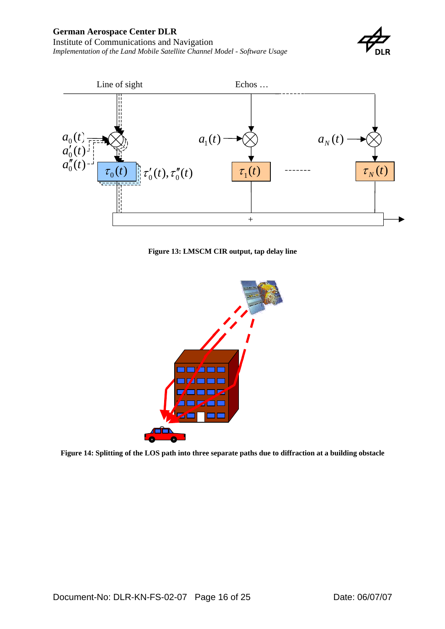#### <span id="page-15-0"></span>**German Aerospace Center DLR**

Institute of Communications and Navigation *Implementation of the Land Mobile Satellite Channel Model - Software Usage* 





**[Figure 13: LMSCM CIR](#page-22-1) output, tap delay line**



**[Figure 14: Splitting of the LOS path into three separate paths due to diffraction at a building obstacle](#page-22-1)**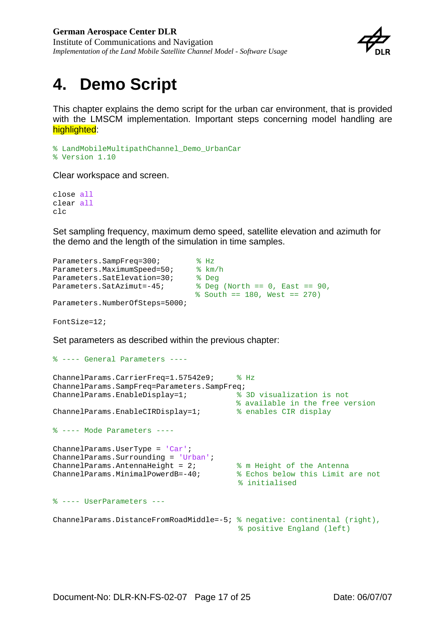

## <span id="page-16-0"></span>**4. Demo Script**

This chapter explains the demo script for the urban car environment, that is provided with the LMSCM implementation. Important steps concerning model handling are highlighted:

```
% LandMobileMultipathChannel_Demo_UrbanCar 
% Version 1.10
```
Clear workspace and screen.

close all clear all clc

Set sampling frequency, maximum demo speed, satellite elevation and azimuth for the demo and the length of the simulation in time samples.

```
Parameters. SampFreq=300; % Hz
Parameters.MaximumSpeed=50; % km/h
Parameters.SatElevation=30; % Deg
Parameters.SatAzimut=-45; % Deg (North == 0, East == 90, 
                             % South == 180, West == 270) 
Parameters.NumberOfSteps=5000;
```
FontSize=12;

Set parameters as described within the previous chapter:

```
% ---- General Parameters ----
ChannelParams.CarrierFreq=1.57542e9; % Hz
ChannelParams.SampFreq=Parameters.SampFreq;
ChannelParams.EnableDisplay=1; % 3D visualization is not 
                                      % available in the free version
ChannelParams.EnableCIRDisplay=1; % enables CIR display
% ---- Mode Parameters ----
ChannelParams.UserType = 'Car';
ChannelParams.Surrounding = 'Urban'; 
ChannelParams.AntennaHeight = 2; % m Height of the Antenna
ChannelParams.MinimalPowerdB=-40; % Echos below this Limit are not 
                                       % initialised
% ---- UserParameters ---
ChannelParams.DistanceFromRoadMiddle=-5; % negative: continental (right), 
                                       % positive England (left)
```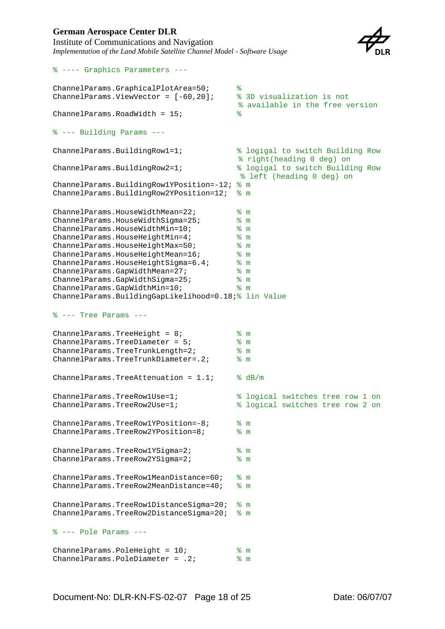% ---- Graphics Parameters ---



```
ChannelParams.GraphicalPlotArea=50; % 
ChannelParams.ViewVector = [-60,20]; % 3D visualization is not 
                                    % available in the free version
ChannelParameters.RoadWidth = 15;% --- Building Params ---
ChannelParams.BuildingRow1=1; % logigal to switch Building Row 
                                    % right(heading 0 deg) on
ChannelParams.BuildingRow2=1; % logigal to switch Building Row 
                                    % left (heading 0 deg) on
ChannelParams.BuildingRow1YPosition=-12; % m
ChannelParams.BuildingRow2YPosition=12; % m
ChannelParams.HouseWidthMean=22; $ m
ChannelParams.HouseWidthSigma=25; % m
ChannelParams.HouseWidthMin=10; % m
ChannelParams.HouseHeightMin=4; \frac{2}{3} m
ChannelParams.HouseHeightMax=50; % m
ChannelParams.HouseHeightMean=16; % m
ChannelParams.HouseHeightSigma=6.4; % m
ChannelParams.GapWidthMean=27; % m
ChannelParams.GapWidthSigma=25; % m
ChannelParams.GapWidthMin=10; % m
ChannelParams.BuildingGapLikelihood=0.18;% lin Value
% --- Tree Params ---
ChannelParams.TreeHeight = 8;<br>
% m
ChannelParams.TreeDiameter = 5; % m
ChannelParams.TreeTrunkLength=2; % m
ChannelParams.TreeTrunkDiameter=.2; % m
ChannelParams.TreeAttenuation = 1.1; % dB/mChannelParams.TreeRow1Use=1; % logical switches tree row 1 on
ChannelParams.TreeRow2Use=1; % logical switches tree row 2 on
ChannelParams.TreeRow1YPosition=-8; % m
ChannelParams.TreeRow2YPosition=8; % m
ChannelParams.TreeRow1YSigma=2; % m
ChannelParams.TreeRow2YSigma=2; % m
ChannelParams.TreeRow1MeanDistance=60; % m
ChannelParams.TreeRow2MeanDistance=40; % m
ChannelParams.TreeRow1DistanceSigma=20; % m
ChannelParams.TreeRow2DistanceSigma=20; % m
% --- Pole Params ---
ChannelParams.PoleHeight = 10; <br> % m
ChannelParams.PoleDiameter = .2; % m
```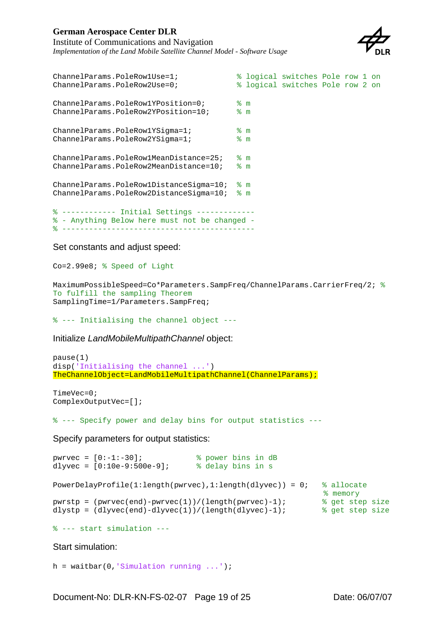### **German Aerospace Center DLR**

Institute of Communications and Navigation *Implementation of the Land Mobile Satellite Channel Model - Software Usage* 



```
ChannelParams.PoleRow1Use=1; % logical switches Pole row 1 on
ChannelParams.PoleRow2Use=0; % logical switches Pole row 2 on
ChannelParams.PoleRow1YPosition=0; % m
ChannelParams.PoleRow2YPosition=10; % m
ChannelParams.PoleRow1YSigma=1;<br>
ChannelParams.PoleRow2YSigma=1;<br>
\% m
ChannelParams.PoleRow2YSigma=1;
ChannelParams.PoleRow1MeanDistance=25; % m
ChannelParams.PoleRow2MeanDistance=10; % m
ChannelParams.PoleRow1DistanceSigma=10; % m
ChannelParams.PoleRow2DistanceSigma=10; % m
% ------------ Initial Settings -------------
% - Anything Below here must not be changed -
% -------------------------------------------
```
Set constants and adjust speed:

Co=2.99e8; % Speed of Light

```
MaximumPossibleSpeed=Co*Parameters.SampFreq/ChannelParams.CarrierFreq/2; % 
To fulfill the sampling Theorem
SamplingTime=1/Parameters.SampFreq;
```
% --- Initialising the channel object ---

Initialize *LandMobileMultipathChannel* object:

```
pause(1)
disp('Initialising the channel ...')
TheChannelObject=LandMobileMultipathChannel(ChannelParams);
```
TimeVec=0; ComplexOutputVec=[];

% --- Specify power and delay bins for output statistics ---

Specify parameters for output statistics:

```
pwrvec = [0:-1:-30]; % power bins in dB
dlyvec = [0:10e-9:500e-9]; % delay bins in s
PowerDelayProfile(1:length(pwrvec),1:length(dlyvec)) = 0; % allocate 
                                                                                 % memory<br>% get step size
pwrstp = (pwrvec(end)-pwrvec(1))/(length(pwrvec)-1); \frac{1}{3} get step size dlvstp = (dlvvec(end)-dlyvec(1))/(length(dlyvec)-1); \frac{1}{3} get step size
dlystp = \frac{1}{\text{dlyvec}(\text{end}) - \text{dlyvec}(1)) / (\text{length}(\text{dlyvec}) - 1)};
```
% --- start simulation ---

Start simulation:

h = waitbar( $0$ , Simulation running ...');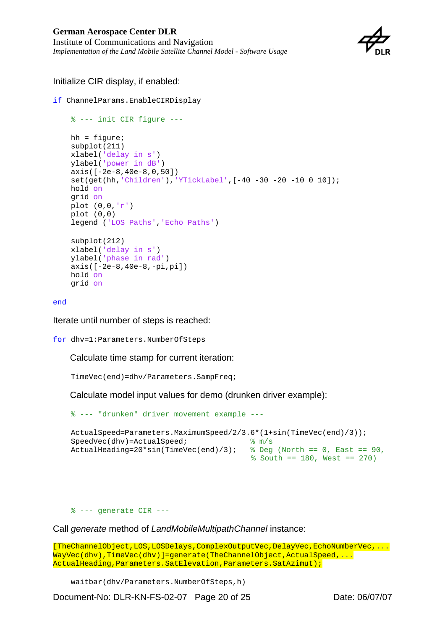

### Initialize CIR display, if enabled:

```
if ChannelParams.EnableCIRDisplay
```

```
 % --- init CIR figure ---
 hh = figure;
 subplot(211)
 xlabel('delay in s')
 ylabel('power in dB')
 axis([-2e-8,40e-8,0,50])
 set(get(hh,'Children'),'YTickLabel',[-40 -30 -20 -10 0 10]);
 hold on
 grid on
plot (0,0,'r') plot (0,0)
 legend ('LOS Paths','Echo Paths')
 subplot(212)
 xlabel('delay in s')
 ylabel('phase in rad')
 axis([-2e-8,40e-8,-pi,pi])
 hold on
 grid on
```
end

Iterate until number of steps is reached:

for dhv=1:Parameters.NumberOfSteps

Calculate time stamp for current iteration:

TimeVec(end)=dhv/Parameters.SampFreq;

Calculate model input values for demo (drunken driver example):

```
 % --- "drunken" driver movement example ---
ActualSpeed=Parameters.MaximumSpeed/2/3.6*(1+sin(TimeVec(end)/3));
SpeedVec(dhv)=ActualSpeed; \frac{1}{8} m/s
 ActualHeading=20*sin(TimeVec(end)/3); % Deg (North == 0, East == 90, 
                                       % South == 180, West == 270)
```
% --- generate CIR ---

Call *generate* method of *LandMobileMultipathChannel* instance:

[TheChannelObject,LOS,LOSDelays,ComplexOutputVec,DelayVec,EchoNumberVec,... WayVec(dhv),TimeVec(dhv)]=generate(TheChannelObject,ActualSpeed,... ActualHeading, Parameters. SatElevation, Parameters. SatAzimut);

waitbar(dhv/Parameters.NumberOfSteps,h)

Document-No: DLR-KN-FS-02-07 Page 20 of 25 Date: 06/07/07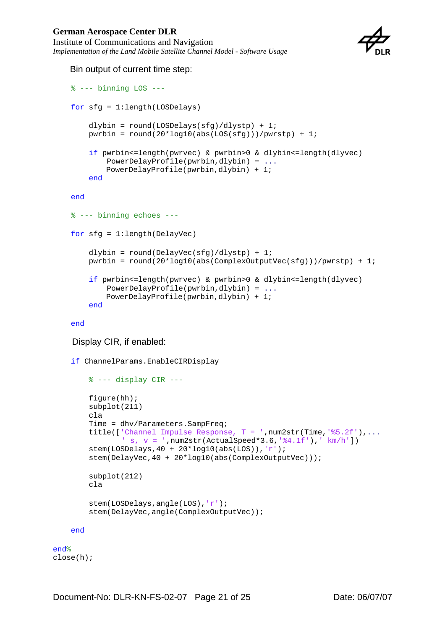### **German Aerospace Center DLR**

Institute of Communications and Navigation *Implementation of the Land Mobile Satellite Channel Model - Software Usage* 



#### Bin output of current time step:

```
\frac{1}{2} --- binning LOS ---
 for sfg = 1:length(LOSDelays)
    dlybin = round(LOSDelays(sfg)/dlystp) + 1; pwrbin = round(20*log10(abs(LOS(sfg)))/pwrstp) + 1;
     if pwrbin<=length(pwrvec) & pwrbin>0 & dlybin<=length(dlyvec)
         PowerDelayProfile(pwrbin,dlybin) = ...
        PowerDelayProfile(pwrbin,dlybin) + 1;
     end
 end 
 % --- binning echoes ---
 for sfg = 1:length(DelayVec)
    dlybin = round(DelayVec(sfq)/dlystp) + 1;
     pwrbin = round(20*log10(abs(ComplexOutputVec(sfg)))/pwrstp) + 1;
     if pwrbin<=length(pwrvec) & pwrbin>0 & dlybin<=length(dlyvec)
         PowerDelayProfile(pwrbin,dlybin) = ...
        PowerDelayProfile(pwrbin,dlybin) + 1;
     end
```
#### end

Display CIR, if enabled:

if ChannelParams.EnableCIRDisplay

```
s --- display CIR ---
     figure(hh);
     subplot(211)
     cla
     Time = dhv/Parameters.SampFreq;
    title(['Channel Impulse Response, T = ',num2str(Time,'%5.2f'),...
            ' s, v = ',num2str(ActualSpeed*3.6,'%4.1f'),' km/h'])
     stem(LOSDelays,40 + 20*log10(abs(LOS)),'r');
     stem(DelayVec,40 + 20*log10(abs(ComplexOutputVec)));
     subplot(212)
    cla 
     stem(LOSDelays,angle(LOS),'r');
     stem(DelayVec,angle(ComplexOutputVec));
 end
```

```
end%
close(h);
```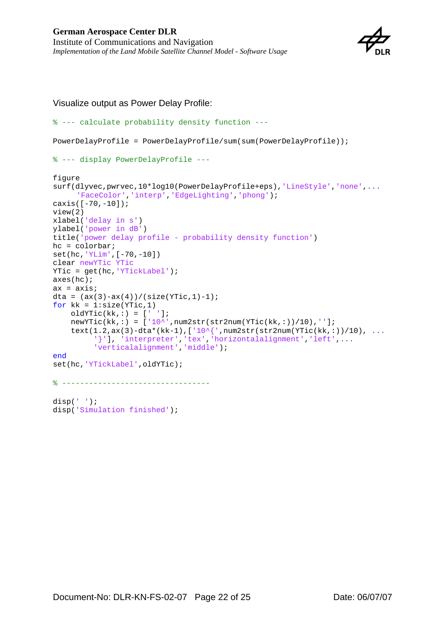

Visualize output as Power Delay Profile:

```
% --- calculate probability density function ---
PowerDelayProfile = PowerDelayProfile/sum(sum(PowerDelayProfile));
% --- display PowerDelayProfile ---
figure
surf(dlyvec,pwrvec,10*log10(PowerDelayProfile+eps),'LineStyle','none',...
     'FaceColor','interp','EdgeLighting','phong');
caxis([-70,-10]);
view(2)
xlabel('delay in s')
ylabel('power in dB')
title('power delay profile - probability density function')
hc = colorbar;set(hc,'YLim',[-70,-10])
clear newYTic YTic
YTic = get(hc,'YTickLabel');
axes(hc);
ax = axis;
dta = (ax(3)-ax(4))/(size(YTic,1)-1);for kk = 1:size(YTic,1)oldYTic(kk,:) = [' ' ];newYTic(kk,:) = [10^*',num2str(str2num(YTic(kk,:))/10),'];
    text(1.2,ax(3)-dta*(kk-1),['10^{',num2str(str2num(YTic(kk,:))/10), ...
          '}'], 'interpreter','tex','horizontalalignment','left',...
          'verticalalignment','middle'); 
end
set(hc,'YTickLabel',oldYTic);
% ---------------------------------
disp(' ' );
disp('Simulation finished');
```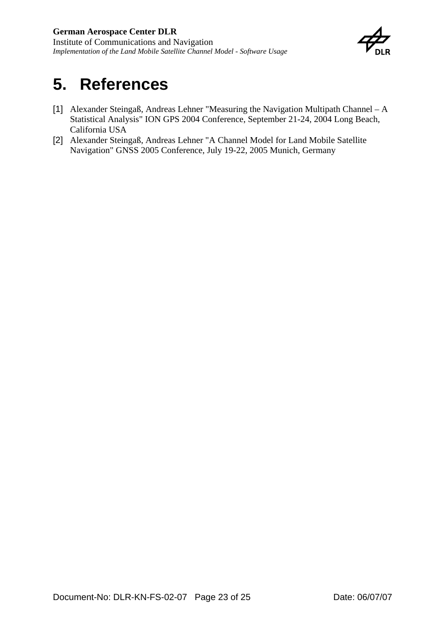

## <span id="page-22-0"></span>**5. References**

- <span id="page-22-1"></span>[1] Alexander Steingaß, Andreas Lehner "Measuring the Navigation Multipath Channel – A Statistical Analysis" ION GPS 2004 Conference, September 21-24, 2004 Long Beach, California USA
- <span id="page-22-2"></span>[2] Alexander Steingaß, Andreas Lehner "A Channel Model for Land Mobile Satellite Navigation" GNSS 2005 Conference, July 19-22, 2005 Munich, Germany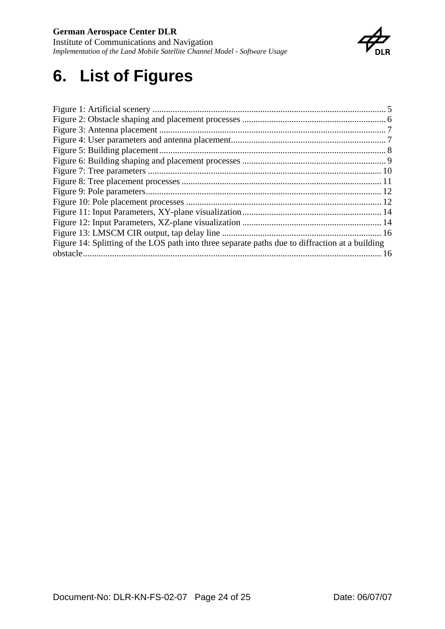### <span id="page-23-0"></span>**German Aerospace Center DLR**

Institute of Communications and Navigation *Implementation of the Land Mobile Satellite Channel Model - Software Usage* 



## **6. List of Figures**

| Figure 14: Splitting of the LOS path into three separate paths due to diffraction at a building |  |
|-------------------------------------------------------------------------------------------------|--|
|                                                                                                 |  |
|                                                                                                 |  |